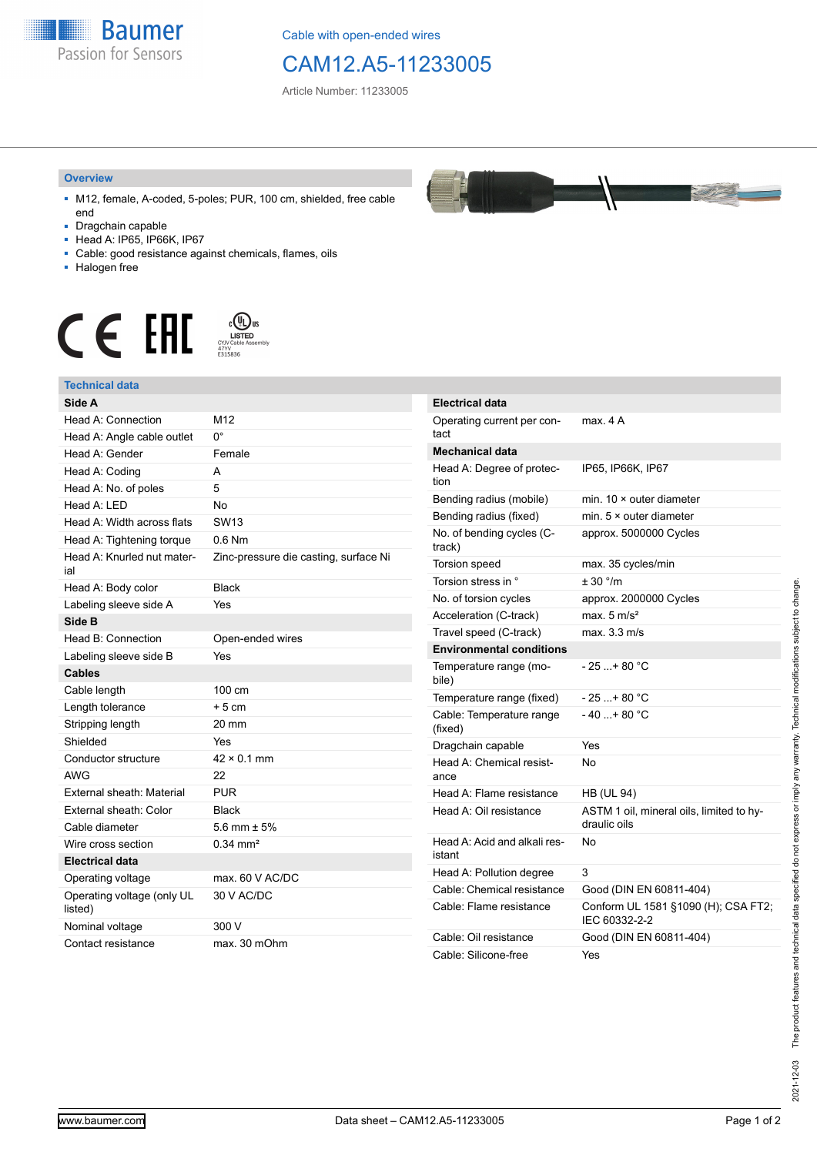

Cable with open-ended wires

## CAM12.A5-11233005

Article Number: 11233005

## **Overview**

- M12, female, A-coded, 5-poles; PUR, 100 cm, shielded, free cable end
- Dragchain capable
- Head A: IP65, IP66K, IP67
- Cable: good resistance against chemicals, flames, oils
- Halogen free



## **Technical data**

| Side A                                |                                       |
|---------------------------------------|---------------------------------------|
| Head A: Connection                    | M12                                   |
| Head A: Angle cable outlet            | $0^{\circ}$                           |
| Head A: Gender                        | Female                                |
| Head A: Coding                        | A                                     |
| Head A: No. of poles                  | 5                                     |
| Head A: LED                           | <b>No</b>                             |
| Head A: Width across flats            | <b>SW13</b>                           |
| Head A: Tightening torque             | $0.6$ Nm                              |
| Head A: Knurled nut mater-<br>ial     | Zinc-pressure die casting, surface Ni |
| Head A: Body color                    | <b>Black</b>                          |
| Labeling sleeve side A                | Yes                                   |
| Side B                                |                                       |
| Head B: Connection                    | Open-ended wires                      |
| Labeling sleeve side B                | Yes                                   |
| Cables                                |                                       |
| Cable length                          | 100 cm                                |
| Length tolerance                      | $+5cm$                                |
| Stripping length                      | 20 mm                                 |
| Shielded                              | Yes                                   |
| Conductor structure                   | $42 \times 0.1$ mm                    |
| <b>AWG</b>                            | 22                                    |
| External sheath: Material             | <b>PUR</b>                            |
| External sheath: Color                | <b>Black</b>                          |
| Cable diameter                        | 5.6 mm $\pm$ 5%                       |
| Wire cross section                    | $0.34 \, \text{mm}^2$                 |
| <b>Electrical data</b>                |                                       |
| Operating voltage                     | max. 60 V AC/DC                       |
| Operating voltage (only UL<br>listed) | 30 V AC/DC                            |
| Nominal voltage                       | 300 V                                 |
| Contact resistance                    | max. 30 mOhm                          |



| <b>Electrical data</b>                 |                                                          |
|----------------------------------------|----------------------------------------------------------|
| Operating current per con-<br>tact     | max 4 A                                                  |
| <b>Mechanical data</b>                 |                                                          |
| Head A: Degree of protec-<br>tion      | IP65, IP66K, IP67                                        |
| Bending radius (mobile)                | min. $10 \times$ outer diameter                          |
| Bending radius (fixed)                 | min. $5 \times$ outer diameter                           |
| No. of bending cycles (C-<br>track)    | approx. 5000000 Cycles                                   |
| Torsion speed                          | max. 35 cycles/min                                       |
| Torsion stress in °                    | ± 30 °/m                                                 |
| No. of torsion cycles                  | approx. 2000000 Cycles                                   |
| Acceleration (C-track)                 | max. $5 \text{ m/s}^2$                                   |
| Travel speed (C-track)                 | max. 3.3 m/s                                             |
| <b>Environmental conditions</b>        |                                                          |
| Temperature range (mo-<br>bile)        | $-25+80 °C$                                              |
| Temperature range (fixed)              | - 25 +80 °C                                              |
| Cable: Temperature range<br>(fixed)    | $-40+80 °C$                                              |
| Dragchain capable                      | Yes                                                      |
| Head A: Chemical resist-<br>ance       | N٥                                                       |
| Head A: Flame resistance               | <b>HB (UL 94)</b>                                        |
| Head A: Oil resistance                 | ASTM 1 oil, mineral oils, limited to hy-<br>draulic oils |
| Head A: Acid and alkali res-<br>istant | No                                                       |
| Head A: Pollution degree               | 3                                                        |
| Cable: Chemical resistance             | Good (DIN EN 60811-404)                                  |
| Cable: Flame resistance                | Conform UL 1581 §1090 (H); CSA FT2;<br>IEC 60332-2-2     |
| Cable: Oil resistance                  | Good (DIN EN 60811-404)                                  |
| Cable: Silicone-free                   | Yes                                                      |